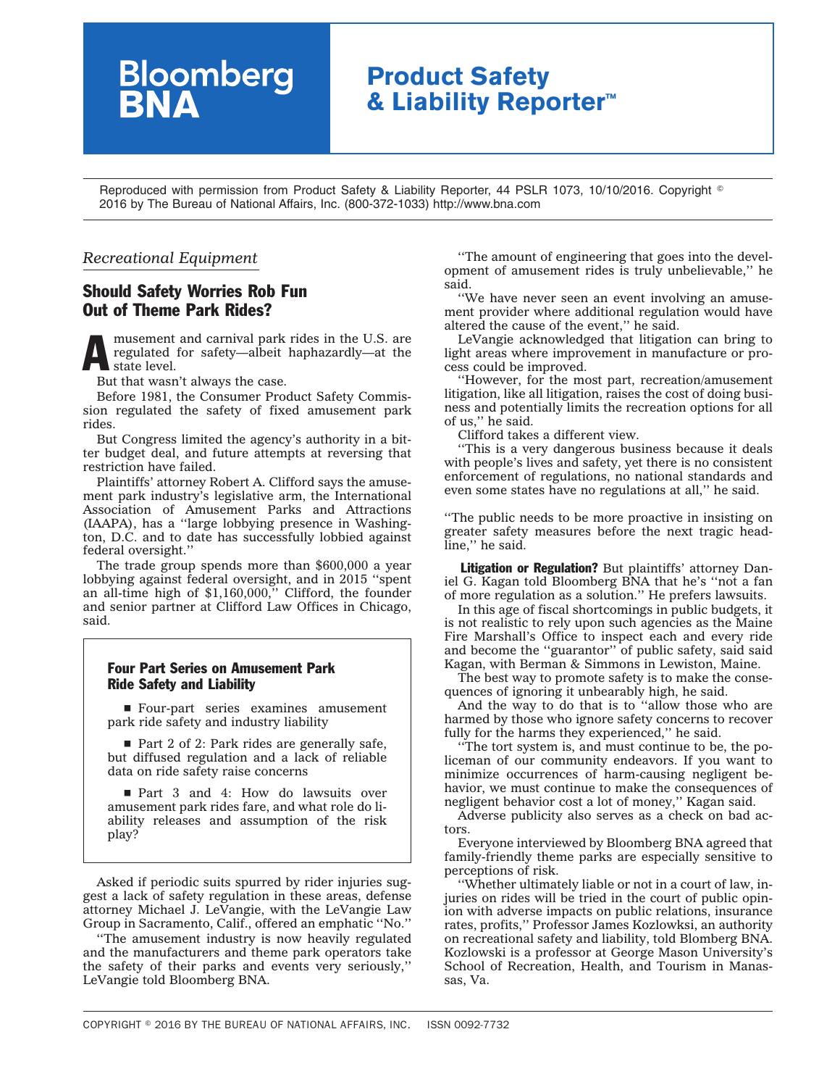# **Product Safety & Liability Reporter™**

Reproduced with permission from Product Safety & Liability Reporter, 44 PSLR 1073, 10/10/2016. Copyright  $^\circ$ 2016 by The Bureau of National Affairs, Inc. (800-372-1033) http://www.bna.com

### *Recreational Equipment*

## Should Safety Worries Rob Fun Out of Theme Park Rides?

**Bloomberg**<br>**BNA** 

musement and carnival park rides in the U.S. are regulated for safety—albeit haphazardly—at the state level. regulated for safety—albeit haphazardly—at the state level.

But that wasn't always the case.

Before 1981, the Consumer Product Safety Commission regulated the safety of fixed amusement park rides.

But Congress limited the agency's authority in a bitter budget deal, and future attempts at reversing that restriction have failed.

Plaintiffs' attorney Robert A. Clifford says the amusement park industry's legislative arm, the International Association of Amusement Parks and Attractions (IAAPA), has a ''large lobbying presence in Washington, D.C. and to date has successfully lobbied against federal oversight.''

The trade group spends more than \$600,000 a year lobbying against federal oversight, and in 2015 ''spent an all-time high of \$1,160,000,'' Clifford, the founder and senior partner at Clifford Law Offices in Chicago, said.

#### Four Part Series on Amusement Park Ride Safety and Liability

■ Four-part series examines amusement park ride safety and industry liability

 $\blacksquare$  Part 2 of 2: Park rides are generally safe, but diffused regulation and a lack of reliable data on ride safety raise concerns

■ Part 3 and 4: How do lawsuits over amusement park rides fare, and what role do liability releases and assumption of the risk play?

Asked if periodic suits spurred by rider injuries suggest a lack of safety regulation in these areas, defense attorney Michael J. LeVangie, with the LeVangie Law Group in Sacramento, Calif., offered an emphatic ''No.''

''The amusement industry is now heavily regulated and the manufacturers and theme park operators take the safety of their parks and events very seriously,'' LeVangie told Bloomberg BNA.

''The amount of engineering that goes into the development of amusement rides is truly unbelievable,'' he said.

''We have never seen an event involving an amusement provider where additional regulation would have altered the cause of the event,'' he said.

LeVangie acknowledged that litigation can bring to light areas where improvement in manufacture or process could be improved.

''However, for the most part, recreation/amusement litigation, like all litigation, raises the cost of doing business and potentially limits the recreation options for all of us,'' he said.

Clifford takes a different view.

''This is a very dangerous business because it deals with people's lives and safety, yet there is no consistent enforcement of regulations, no national standards and even some states have no regulations at all,'' he said.

''The public needs to be more proactive in insisting on greater safety measures before the next tragic headline,'' he said.

Litigation or Regulation? But plaintiffs' attorney Daniel G. Kagan told Bloomberg BNA that he's ''not a fan of more regulation as a solution.'' He prefers lawsuits.

In this age of fiscal shortcomings in public budgets, it is not realistic to rely upon such agencies as the Maine Fire Marshall's Office to inspect each and every ride and become the "guarantor" of public safety, said said Kagan, with Berman & Simmons in Lewiston, Maine.

The best way to promote safety is to make the consequences of ignoring it unbearably high, he said.

And the way to do that is to ''allow those who are harmed by those who ignore safety concerns to recover fully for the harms they experienced," he said.

''The tort system is, and must continue to be, the policeman of our community endeavors. If you want to minimize occurrences of harm-causing negligent behavior, we must continue to make the consequences of negligent behavior cost a lot of money,'' Kagan said.

Adverse publicity also serves as a check on bad actors.

Everyone interviewed by Bloomberg BNA agreed that family-friendly theme parks are especially sensitive to perceptions of risk.

''Whether ultimately liable or not in a court of law, injuries on rides will be tried in the court of public opinion with adverse impacts on public relations, insurance rates, profits,'' Professor James Kozlowksi, an authority on recreational safety and liability, told Blomberg BNA. Kozlowski is a professor at George Mason University's School of Recreation, Health, and Tourism in Manassas, Va.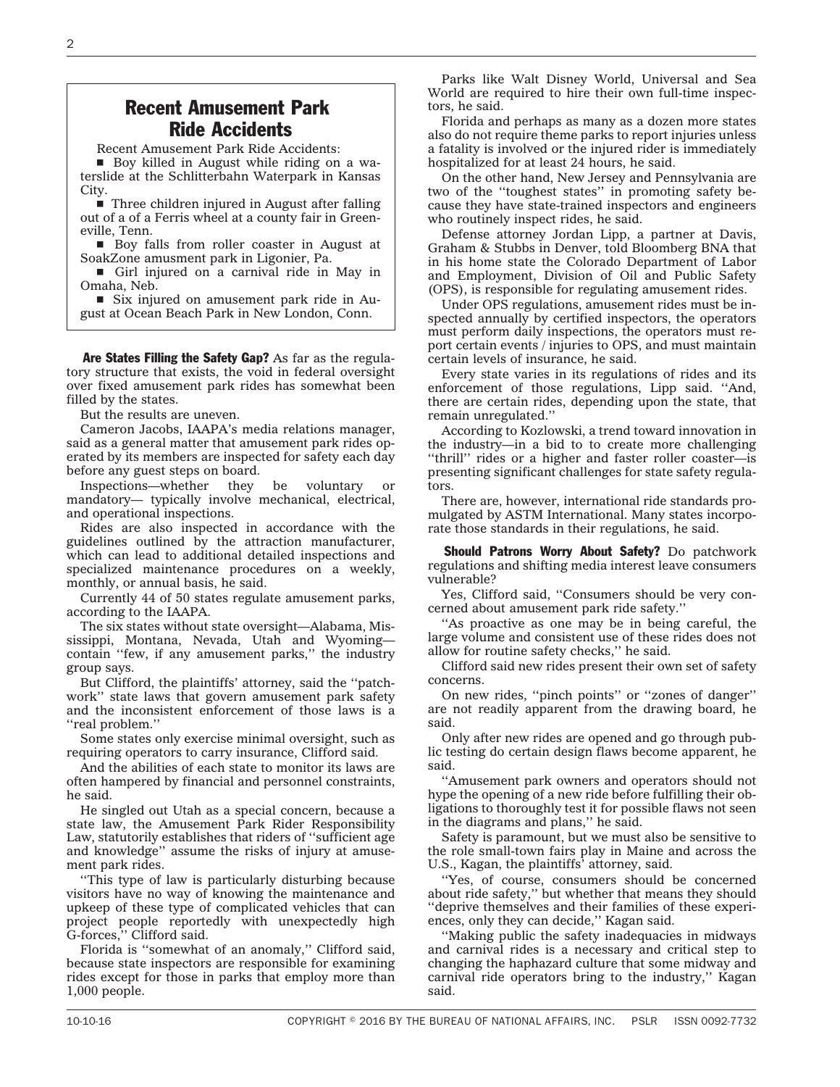# Recent Amusement Park Ride Accidents

Recent Amusement Park Ride Accidents:

■ Boy killed in August while riding on a waterslide at the Schlitterbahn Waterpark in Kansas **City** 

 $\blacksquare$  Three children injured in August after falling out of a of a Ferris wheel at a county fair in Greeneville, Tenn.

■ Boy falls from roller coaster in August at SoakZone amusment park in Ligonier, Pa.

Girl injured on a carnival ride in May in Omaha, Neb.

 $\blacksquare$  Six injured on amusement park ride in August at Ocean Beach Park in New London, Conn.

Are States Filling the Safety Gap? As far as the regulatory structure that exists, the void in federal oversight over fixed amusement park rides has somewhat been filled by the states.

But the results are uneven.

Cameron Jacobs, IAAPA's media relations manager, said as a general matter that amusement park rides operated by its members are inspected for safety each day before any guest steps on board.

Inspections—whether they be voluntary or mandatory— typically involve mechanical, electrical, and operational inspections.

Rides are also inspected in accordance with the guidelines outlined by the attraction manufacturer, which can lead to additional detailed inspections and specialized maintenance procedures on a weekly, monthly, or annual basis, he said.

Currently 44 of 50 states regulate amusement parks, according to the IAAPA.

The six states without state oversight—Alabama, Mississippi, Montana, Nevada, Utah and Wyoming contain ''few, if any amusement parks,'' the industry group says.

But Clifford, the plaintiffs' attorney, said the ''patchwork'' state laws that govern amusement park safety and the inconsistent enforcement of those laws is a ''real problem.''

Some states only exercise minimal oversight, such as requiring operators to carry insurance, Clifford said.

And the abilities of each state to monitor its laws are often hampered by financial and personnel constraints, he said.

He singled out Utah as a special concern, because a state law, the Amusement Park Rider Responsibility Law, statutorily establishes that riders of ''sufficient age and knowledge'' assume the risks of injury at amusement park rides.

''This type of law is particularly disturbing because visitors have no way of knowing the maintenance and upkeep of these type of complicated vehicles that can project people reportedly with unexpectedly high G-forces,'' Clifford said.

Florida is ''somewhat of an anomaly,'' Clifford said, because state inspectors are responsible for examining rides except for those in parks that employ more than 1,000 people.

Parks like Walt Disney World, Universal and Sea World are required to hire their own full-time inspectors, he said.

Florida and perhaps as many as a dozen more states also do not require theme parks to report injuries unless a fatality is involved or the injured rider is immediately hospitalized for at least 24 hours, he said.

On the other hand, New Jersey and Pennsylvania are two of the ''toughest states'' in promoting safety because they have state-trained inspectors and engineers who routinely inspect rides, he said.

Defense attorney Jordan Lipp, a partner at Davis, Graham & Stubbs in Denver, told Bloomberg BNA that in his home state the Colorado Department of Labor and Employment, Division of Oil and Public Safety (OPS), is responsible for regulating amusement rides.

Under OPS regulations, amusement rides must be inspected annually by certified inspectors, the operators must perform daily inspections, the operators must report certain events / injuries to OPS, and must maintain certain levels of insurance, he said.

Every state varies in its regulations of rides and its enforcement of those regulations, Lipp said. ''And, there are certain rides, depending upon the state, that remain unregulated.''

According to Kozlowski, a trend toward innovation in the industry—in a bid to to create more challenging ''thrill'' rides or a higher and faster roller coaster—is presenting significant challenges for state safety regulators.

There are, however, international ride standards promulgated by ASTM International. Many states incorporate those standards in their regulations, he said.

Should Patrons Worry About Safety? Do patchwork regulations and shifting media interest leave consumers vulnerable?

Yes, Clifford said, ''Consumers should be very concerned about amusement park ride safety.''

''As proactive as one may be in being careful, the large volume and consistent use of these rides does not allow for routine safety checks,'' he said.

Clifford said new rides present their own set of safety concerns.

On new rides, ''pinch points'' or ''zones of danger'' are not readily apparent from the drawing board, he said.

Only after new rides are opened and go through public testing do certain design flaws become apparent, he said.

''Amusement park owners and operators should not hype the opening of a new ride before fulfilling their obligations to thoroughly test it for possible flaws not seen in the diagrams and plans,'' he said.

Safety is paramount, but we must also be sensitive to the role small-town fairs play in Maine and across the U.S., Kagan, the plaintiffs' attorney, said.

''Yes, of course, consumers should be concerned about ride safety,'' but whether that means they should ''deprive themselves and their families of these experiences, only they can decide,'' Kagan said.

''Making public the safety inadequacies in midways and carnival rides is a necessary and critical step to changing the haphazard culture that some midway and carnival ride operators bring to the industry,'' Kagan said.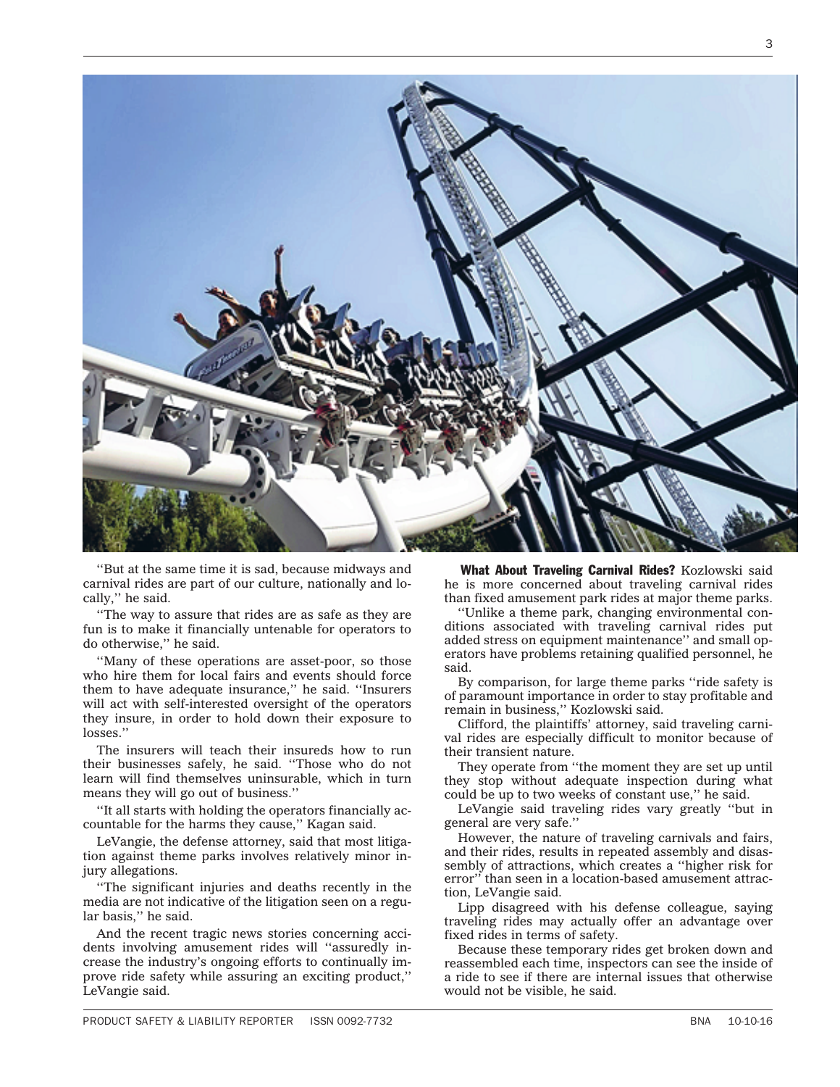

''But at the same time it is sad, because midways and carnival rides are part of our culture, nationally and locally,'' he said.

''The way to assure that rides are as safe as they are fun is to make it financially untenable for operators to do otherwise,'' he said.

''Many of these operations are asset-poor, so those who hire them for local fairs and events should force them to have adequate insurance,'' he said. ''Insurers will act with self-interested oversight of the operators they insure, in order to hold down their exposure to losses."

The insurers will teach their insureds how to run their businesses safely, he said. ''Those who do not learn will find themselves uninsurable, which in turn means they will go out of business.''

''It all starts with holding the operators financially accountable for the harms they cause,'' Kagan said.

LeVangie, the defense attorney, said that most litigation against theme parks involves relatively minor injury allegations.

''The significant injuries and deaths recently in the media are not indicative of the litigation seen on a regular basis,'' he said.

And the recent tragic news stories concerning accidents involving amusement rides will ''assuredly increase the industry's ongoing efforts to continually improve ride safety while assuring an exciting product,'' LeVangie said.

What About Traveling Carnival Rides? Kozlowski said he is more concerned about traveling carnival rides than fixed amusement park rides at major theme parks.

''Unlike a theme park, changing environmental conditions associated with traveling carnival rides put added stress on equipment maintenance'' and small operators have problems retaining qualified personnel, he said.

By comparison, for large theme parks ''ride safety is of paramount importance in order to stay profitable and remain in business,'' Kozlowski said.

Clifford, the plaintiffs' attorney, said traveling carnival rides are especially difficult to monitor because of their transient nature.

They operate from ''the moment they are set up until they stop without adequate inspection during what could be up to two weeks of constant use,'' he said.

LeVangie said traveling rides vary greatly ''but in general are very safe.''

However, the nature of traveling carnivals and fairs, and their rides, results in repeated assembly and disassembly of attractions, which creates a ''higher risk for error'' than seen in a location-based amusement attraction, LeVangie said.

Lipp disagreed with his defense colleague, saying traveling rides may actually offer an advantage over fixed rides in terms of safety.

Because these temporary rides get broken down and reassembled each time, inspectors can see the inside of a ride to see if there are internal issues that otherwise would not be visible, he said.